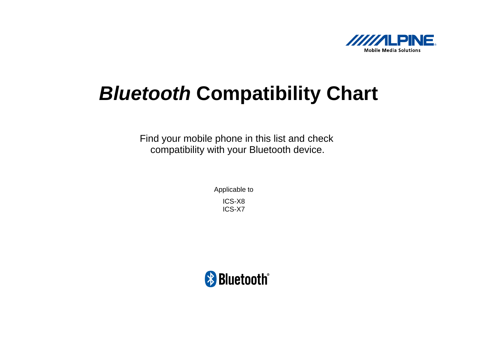

## *Bluetooth* **Compatibility Chart**

Find your mobile phone in this list and check compatibility with your Bluetooth device.

> Applicable to ICS-X8 ICS-X7

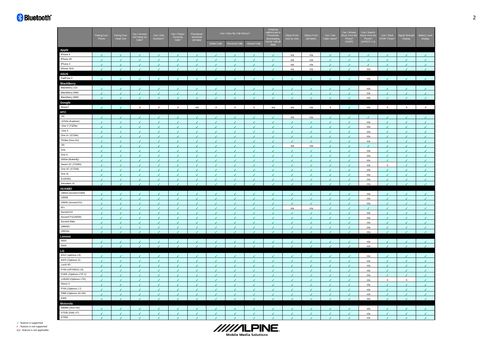## **\*** Bluetooth<sup>\*</sup>

| Apple<br>iPhone 5<br>ر<br>n/a<br>n/a<br>J.<br>J<br>J<br>◢<br>J<br>◢<br>◢<br>ℐ<br>◢<br>iPhone 4S<br>¥.<br>J.<br>J<br>n/a<br>J.<br>٠<br>٠<br>J.<br>$\overline{\mathcal{L}}$<br>٠<br>n/a<br>J<br>◢<br>◢<br>◢<br>◢<br>◢<br>◢<br>iPhone 4<br>$\mathcal{L}_{\mathcal{A}}$<br>$\epsilon$<br>n/a<br>J.<br>✔<br>✔<br>◢<br>◢<br>◢<br>◢<br>√<br>n/a<br>◢<br>◢<br>✔<br>✔<br>◢<br>◢<br>iPhone 3GS<br>¥.<br>J<br>J.<br>J.<br>J.<br>v<br>n/a<br>n/a<br>n/a<br>J.<br>J<br>٠<br><b>ASUS</b><br>PadFone 2<br>n/a<br>$\overline{ }$<br>z<br>J.<br>◢<br>J.<br>$\overline{\phantom{a}}$<br>◢<br>J.<br>J.<br><b>BlackBerry</b><br>BlackBerry Z10<br>n/a<br>↙<br>✔<br>J<br>✔<br>BlackBerry 9360<br>v<br>$\epsilon$<br>✔<br>✔<br>n/a<br>✔<br>✔<br>✔<br>✔<br>✔<br>✔<br>◢<br>✔<br>✔<br>✔<br>BlackBerry 9930<br>$\mathcal{L}$<br>J.<br>J.<br>$\epsilon$<br>$\epsilon$<br>$\mathcal I$<br>J.<br>J.<br>٠<br>$\epsilon$<br>n/a<br>J.<br>◢<br>J.<br>$\epsilon$<br>◢<br>$\epsilon$<br>◢<br>Google<br>Nexus7<br>$\mathcal{E}$<br>$\mathcal{E}$<br>$\mathbf{x}$<br>$\mathbf{x}$<br>$\mathbf{x}$<br>$n/a$<br>n/a<br>n/a<br>$n/a$<br>$\mathbf{x}$<br>$\mathbf{x}$<br>$\mathbf{x}$<br>$\mathbf{x}$<br>$\mathbf x$<br>n/a<br>$\mathbf{x}$<br>$\epsilon$<br>$\mathbf x$<br>HTC<br>$8\times$<br>٠<br>n/a<br>n/a<br>v.<br>J<br>J<br>✔<br>J<br>◢<br>◢<br>J<br>✔<br>J.<br>J<br>◢<br>◢<br>◢<br>◢<br>A310e (Explorer)<br>¥.<br>J<br>٠<br>J.<br>J<br>٠<br>n/a<br>J.<br>٠<br>J.<br>J.<br>J<br>J.<br>J<br>J<br>ر<br>One V (T320e)<br>$\epsilon$<br>J<br>n/a<br>$\sqrt{2}$<br>J<br>J<br>v<br>J.<br>$\epsilon$<br>J<br>٠<br>v<br>v<br>v<br>J<br>٠<br>$\epsilon$<br>J<br>One X<br>$\epsilon$<br>J<br>v<br>v.<br>v<br>٠<br>J.<br>v<br>J<br>v<br>v<br>v<br>٠<br>J.<br>✔<br>✔<br>n/a<br>✔<br>One X+ (S728e)<br>$\epsilon$<br>✔<br>✔<br>↙<br>✓<br>✔<br>✓<br>v<br>✔<br>↙<br>✓<br>✔<br>n/a<br>v<br>↙<br>✔<br>✔<br>✔<br>T528w (One SU)<br>v<br>¥.<br>v<br>v<br>v<br>¥.<br>V<br>✔<br>v<br>v<br>J<br>V<br>✔<br>✔<br>✓<br>n/a<br>v<br>J<br>$8\mathrm{S}$<br>v.<br>٠<br>J.<br>J<br>J<br>J<br>n/a<br>n/a<br>J<br>J<br>◢<br>◢<br>◢<br>J<br>ر<br>J<br>ℐ<br>One<br>$\mathcal{L}$<br>$\epsilon$<br>$\mathcal{L}$<br>$\mathcal{L}$<br>$\epsilon$<br>$\overline{\mathcal{L}}$<br>$\epsilon$<br>J.<br>$\mathcal{L}$<br>J.<br>$\mathcal{L}$<br>J.<br>$\epsilon$<br>$\epsilon$<br>$\epsilon$<br>J.<br>n/a<br>$\overline{\mathcal{L}}$<br>One S<br>۶<br>J<br>v<br>J.<br>v.<br>J<br>J<br>J.<br>J.<br>J.<br>J.<br>J.<br>J.<br>J.<br>J.<br>◢<br>n/a<br>◢<br>X920e (Butterfly)<br>$\mathcal{E}$<br>٠<br>v<br>v<br>v<br>v<br>$\epsilon$<br>v<br>v<br>$\epsilon$<br>v<br>v<br>v<br>v<br>v<br>v<br>v<br>n/a<br>Desire VC (T328D)<br>¥.<br>J.<br>٠<br>J<br>٠<br>$\boldsymbol{\mathsf{X}}$<br>J<br>٠<br>٠<br>J.<br>J.<br>٠<br>v<br>v<br>v<br>v<br>n/a<br>J<br>One XC (X720d)<br>J.<br>v.<br>J<br>v<br>٠<br>v<br>J<br>٠<br>v<br>٠<br>J<br>v<br>✔<br>J<br>٠<br>n/a<br><b>V</b><br>J<br>One XL<br>v.<br>J<br>J<br>J.<br>J.<br>J.<br>$\bullet$<br>J<br>J<br>J.<br>J.<br>J.<br>٠<br>J<br>J.<br>J<br>v<br>n/a<br>E1(603e)<br>V<br>J.<br>J<br>Í<br>n/a<br>v<br>J.<br>✔<br>✔<br>✔<br>◢<br>◢<br>✔<br>✔<br>✔<br>✔<br>✔<br>Sensation XL<br>$\mathcal{L}$<br>٠<br>J.<br><b>A</b><br>J.<br>J.<br>$\mathcal I$<br>$\epsilon$<br>◢<br>J.<br>◢<br>$\epsilon$<br><b>A</b><br>$\epsilon$<br>n/a<br>$\epsilon$<br>$\epsilon$<br>◢<br><b>HUAWEI</b><br>U8818 (Ascend G300)<br>$\mathcal{L}$<br>J.<br>J.<br>J.<br>J<br>J.<br>J.<br>J<br>$\epsilon$<br>J<br>◢<br>J.<br>$\epsilon$<br>n/a<br>J<br>s.<br>◢<br>J<br>U9508<br>z<br>J<br>z<br>v.<br>J<br>J<br>J.<br>z.<br>J<br>J.<br>J.<br>J.<br>J.<br>J.<br>J<br>J<br>n/a<br>◢<br>U9500 (Ascend D1)<br>$\mathcal{L}_{\mathcal{A}}$<br>$\mathcal{J}$<br>v<br>v<br>$\epsilon$<br>v<br>$\mathcal{E}$<br>v<br>v.<br>$\mathcal{L}$<br>v<br>$\epsilon$<br>v.<br>$\mathcal{L}$<br>$\epsilon$<br>v.<br>✔<br>n/a<br>W1<br>V<br>v<br>v<br>n/a<br>n/a<br>v<br>J.<br>¥.<br>J<br>٠<br>v<br>J.<br>J.<br>٠<br>v<br>v<br>J<br>Ascend D <sub>2</sub><br>J.<br>v<br>v.<br>$\epsilon$<br>$\mathcal{L}$<br>$\mathcal{L}$<br>$\mathcal{L}_{\mathcal{A}}$<br>v<br>v<br>$\epsilon$<br>٠<br>٠<br>v<br>✔<br>v<br>n/a<br>v<br>✓<br>Ascend P1(U9200)<br>J<br>v<br>v.<br>٠<br>v<br>v<br>v<br>v<br>v<br>v<br>v<br>J<br>v.<br>v.<br>◢<br>v<br>✔<br>n/a<br>Ascend Mate<br>v<br>↙<br>✔<br>٠<br>J<br>✔<br>٠<br>n/a<br>v.<br>v.<br>J<br>٠<br>✔<br>✔<br>J<br>✔<br>J<br>U8825D<br>¥.<br>¥.<br>V<br>¥.<br>v<br>v<br>V<br>v<br>v<br>v<br>v<br>✔<br>✔<br>✔<br>✔<br>✓<br>n/a<br>✔<br>U9510e<br>$\mathcal{L}$<br>٠<br>×.<br>$\epsilon$<br>×.<br>J.<br>◢<br>z<br>×.<br>$\overline{f}$<br>$\overline{\phantom{a}}$<br>n/a<br>J<br>◢<br>◢<br>◢<br>◢<br>◢<br>Lenovo<br>S820<br>$\mathcal{L}$<br>J<br>J.<br>$\epsilon$<br>J<br>J.<br>J.<br>J.<br>J.<br>z.<br>٠<br>J.<br>J.<br>J<br>J.<br>J<br>n/a<br>S920<br>$\epsilon$<br>$\mathcal I$<br>$\mathcal{L}$<br>$\epsilon$<br>$\epsilon$<br>$\mathcal{L}$<br>$\mathcal{E}$<br>v<br>$\epsilon$<br>$\mathcal{J}$<br>$\mathcal{J}$<br>$\mathcal{L}$<br>v<br>$\epsilon$<br>$\epsilon$<br>v<br>v<br>n/a<br>LG<br>E612 (optimus L5)<br>$\epsilon$<br>✔<br>v<br>v<br>$\epsilon$<br>٠<br>v<br>٠<br>٠<br>✓<br>✔<br>v<br>٠<br>n/a<br>$\epsilon$<br>J<br>↙<br>◢<br>E975 (Optimus G)<br>J<br>v<br>v<br>v<br>v<br>$\mathbf{r}$<br>v<br>v<br>v<br>v<br>v<br>v.<br>✔<br>v<br>✔<br>✔<br>J<br>n/a<br>Lucid 4G<br>v<br>٠<br>↙<br>v<br>✓<br>v<br>v<br>v<br>v.<br>$\epsilon$<br>✔<br>✓<br>◢<br>◢<br>✔<br>✔<br>n/a<br>$\epsilon$<br>P765 (OPTIMUS L9)<br>¥.<br>J<br>¥.<br>J.<br>J.<br>v<br>v.<br>J<br>✔<br>v<br>J.<br>J<br>v<br>✔<br>v<br>v<br>n/a<br>v<br>F160L (Optimus LTE 2)<br>¥.<br>J.<br>J.<br>J<br>J<br>✔<br>✔<br>J<br>◢<br>✔<br>✔<br>◢<br>✔<br>✔<br>◢<br>n/a<br>✔<br>◢<br>LU6200 (Optimus LTE)<br>$\epsilon$<br>J<br>J<br>s.<br>J.<br>J.<br>$\epsilon$<br>J<br>◢<br>J.<br>$\epsilon$<br>$\mathbf{x}$<br>J.<br>◢<br>◢<br>◢<br>n/a<br>x<br>Nexus 4<br>v.<br>¥.<br>٠<br>J<br>$\epsilon$<br>J.<br>٠<br>J<br>J.<br>J.<br>J.<br>J.<br>J.<br>J<br>◢<br>J<br>◢<br>n/a<br>P705 (Optimus L7)<br>¥.<br>$\epsilon$<br>v.<br>$\epsilon$<br>٠<br>J.<br>٠<br>$\epsilon$<br>J.<br>J.<br>J.<br>J.<br>J<br>J.<br>$\epsilon$<br>J.<br>$\epsilon$<br>n/a<br>P880 (Optimus 4X HD)<br>$\mathcal{L}$<br>¥.<br>v.<br>v<br>J.<br>v<br>v<br>J.<br>J<br>J<br>¥.<br>$\epsilon$<br>J.<br>۶<br>٠<br>$\epsilon$<br>n/a<br>$\epsilon$<br>E400<br>$\mathcal{L}_{\mathcal{A}}$<br>v<br>v<br>J.<br>J.<br>J.<br>۶<br>$\mathcal{L}$<br>J.<br>J.<br>v<br>J.<br>٠<br>n/a<br>v<br>J.<br>J<br>Motorola<br>MB886 (Atrix HD)<br>n/a<br>J<br>✔<br>XT535 (Defy XT)<br>J.<br>J.<br>J.<br>$\mathcal{L}$<br>¥.<br>٠<br>V<br>v<br>۶<br>J<br>٠<br>v<br>J<br>J<br>J<br>v<br>v<br>n/a<br>XT550<br>n/a<br>J<br>ℐ<br>◢<br>J<br>◢<br>ℐ<br>J<br>J<br>J<br>✔ | Pairing from | Pairing fron<br>Head Unit | Can I Answer<br>and Hang Up<br>Calls? | Can I Dial<br>Numbers? | Can I Reject<br>Calls? | Phonebook<br>download<br>(all data) | Can I View My Call History?<br><b>Missed Calls</b><br><b>Dialed Calls</b><br>Received Calls |  |  | Outgoing<br>call&Accept in<br>Phonebook<br>downloading<br>(via far side,al<br>data) | Object Push<br>(one by one) | Object Push<br>(all folder) | Can I See<br>Caller name? | Can I Stream<br>Music from M<br>Phone?<br>(A2DP) | Can I Search<br>Music from My<br>Phone?<br>(AVRCP 1.4) | Can I Send<br>DTMF Tones? | inal Streng<br>Display | Battery Level<br>Display |
|---------------------------------------------------------------------------------------------------------------------------------------------------------------------------------------------------------------------------------------------------------------------------------------------------------------------------------------------------------------------------------------------------------------------------------------------------------------------------------------------------------------------------------------------------------------------------------------------------------------------------------------------------------------------------------------------------------------------------------------------------------------------------------------------------------------------------------------------------------------------------------------------------------------------------------------------------------------------------------------------------------------------------------------------------------------------------------------------------------------------------------------------------------------------------------------------------------------------------------------------------------------------------------------------------------------------------------------------------------------------------------------------------------------------------------------------------------------------------------------------------------------------------------------------------------------------------------------------------------------------------------------------------------------------------------------------------------------------------------------------------------------------------------------------------------------------------------------------------------------------------------------------------------------------------------------------------------------------------------------------------------------------------------------------------------------------------------------------------------------------------------------------------------------------------------------------------------------------------------------------------------------------------------------------------------------------------------------------------------------------------------------------------------------------------------------------------------------------------------------------------------------------------------------------------------------------------------------------------------------------------------------------------------------------------------------------------------------------------------------------------------------------------------------------------------------------------------------------------------------------------------------------------------------------------------------------------------------------------------------------------------------------------------------------------------------------------------------------------------------------------------------------------------------------------------------------------------------------------------------------------------------------------------------------------------------------------------------------------------------------------------------------------------------------------------------------------------------------------------------------------------------------------------------------------------------------------------------------------------------------------------------------------------------------------------------------------------------------------------------------------------------------------------------------------------------------------------------------------------------------------------------------------------------------------------------------------------------------------------------------------------------------------------------------------------------------------------------------------------------------------------------------------------------------------------------------------------------------------------------------------------------------------------------------------------------------------------------------------------------------------------------------------------------------------------------------------------------------------------------------------------------------------------------------------------------------------------------------------------------------------------------------------------------------------------------------------------------------------------------------------------------------------------------------------------------------------------------------------------------------------------------------------------------------------------------------------------------------------------------------------------------------------------------------------------------------------------------------------------------------------------------------------------------------------------------------------------------------------------------------------------------------------------------------------------------------------------------------------------------------------------------------------------------------------------------------------------------------------------------------------------------------------------------------------------------------------------------------------------------------------------------------------------------------------------------------------------------------------------------------------------------------------------------------------------------------------------------------------------------------------------------------------------------------------------------------------------------------------------------------------------------------------------------------------------------------------------------------------------------------------------------------------------------------------------------------------------------------------------------------------------------------------------------------------------------------------------------------------------------------------------------------------------------------------------------------------------------------------------------------------------------------------------------------------------------------------------------------------------------------------------------------------------------------------------------------------------------------------|--------------|---------------------------|---------------------------------------|------------------------|------------------------|-------------------------------------|---------------------------------------------------------------------------------------------|--|--|-------------------------------------------------------------------------------------|-----------------------------|-----------------------------|---------------------------|--------------------------------------------------|--------------------------------------------------------|---------------------------|------------------------|--------------------------|
|                                                                                                                                                                                                                                                                                                                                                                                                                                                                                                                                                                                                                                                                                                                                                                                                                                                                                                                                                                                                                                                                                                                                                                                                                                                                                                                                                                                                                                                                                                                                                                                                                                                                                                                                                                                                                                                                                                                                                                                                                                                                                                                                                                                                                                                                                                                                                                                                                                                                                                                                                                                                                                                                                                                                                                                                                                                                                                                                                                                                                                                                                                                                                                                                                                                                                                                                                                                                                                                                                                                                                                                                                                                                                                                                                                                                                                                                                                                                                                                                                                                                                                                                                                                                                                                                                                                                                                                                                                                                                                                                                                                                                                                                                                                                                                                                                                                                                                                                                                                                                                                                                                                                                                                                                                                                                                                                                                                                                                                                                                                                                                                                                                                                                                                                                                                                                                                                                                                                                                                                                                                                                                                                                                                                                                                                                                                                                                                                                                                                                                                                                                                                                                                                                                                           |              |                           |                                       |                        |                        |                                     |                                                                                             |  |  |                                                                                     |                             |                             |                           |                                                  |                                                        |                           |                        |                          |
|                                                                                                                                                                                                                                                                                                                                                                                                                                                                                                                                                                                                                                                                                                                                                                                                                                                                                                                                                                                                                                                                                                                                                                                                                                                                                                                                                                                                                                                                                                                                                                                                                                                                                                                                                                                                                                                                                                                                                                                                                                                                                                                                                                                                                                                                                                                                                                                                                                                                                                                                                                                                                                                                                                                                                                                                                                                                                                                                                                                                                                                                                                                                                                                                                                                                                                                                                                                                                                                                                                                                                                                                                                                                                                                                                                                                                                                                                                                                                                                                                                                                                                                                                                                                                                                                                                                                                                                                                                                                                                                                                                                                                                                                                                                                                                                                                                                                                                                                                                                                                                                                                                                                                                                                                                                                                                                                                                                                                                                                                                                                                                                                                                                                                                                                                                                                                                                                                                                                                                                                                                                                                                                                                                                                                                                                                                                                                                                                                                                                                                                                                                                                                                                                                                                           |              |                           |                                       |                        |                        |                                     |                                                                                             |  |  |                                                                                     |                             |                             |                           |                                                  |                                                        |                           |                        |                          |
|                                                                                                                                                                                                                                                                                                                                                                                                                                                                                                                                                                                                                                                                                                                                                                                                                                                                                                                                                                                                                                                                                                                                                                                                                                                                                                                                                                                                                                                                                                                                                                                                                                                                                                                                                                                                                                                                                                                                                                                                                                                                                                                                                                                                                                                                                                                                                                                                                                                                                                                                                                                                                                                                                                                                                                                                                                                                                                                                                                                                                                                                                                                                                                                                                                                                                                                                                                                                                                                                                                                                                                                                                                                                                                                                                                                                                                                                                                                                                                                                                                                                                                                                                                                                                                                                                                                                                                                                                                                                                                                                                                                                                                                                                                                                                                                                                                                                                                                                                                                                                                                                                                                                                                                                                                                                                                                                                                                                                                                                                                                                                                                                                                                                                                                                                                                                                                                                                                                                                                                                                                                                                                                                                                                                                                                                                                                                                                                                                                                                                                                                                                                                                                                                                                                           |              |                           |                                       |                        |                        |                                     |                                                                                             |  |  |                                                                                     |                             |                             |                           |                                                  |                                                        |                           |                        |                          |
|                                                                                                                                                                                                                                                                                                                                                                                                                                                                                                                                                                                                                                                                                                                                                                                                                                                                                                                                                                                                                                                                                                                                                                                                                                                                                                                                                                                                                                                                                                                                                                                                                                                                                                                                                                                                                                                                                                                                                                                                                                                                                                                                                                                                                                                                                                                                                                                                                                                                                                                                                                                                                                                                                                                                                                                                                                                                                                                                                                                                                                                                                                                                                                                                                                                                                                                                                                                                                                                                                                                                                                                                                                                                                                                                                                                                                                                                                                                                                                                                                                                                                                                                                                                                                                                                                                                                                                                                                                                                                                                                                                                                                                                                                                                                                                                                                                                                                                                                                                                                                                                                                                                                                                                                                                                                                                                                                                                                                                                                                                                                                                                                                                                                                                                                                                                                                                                                                                                                                                                                                                                                                                                                                                                                                                                                                                                                                                                                                                                                                                                                                                                                                                                                                                                           |              |                           |                                       |                        |                        |                                     |                                                                                             |  |  |                                                                                     |                             |                             |                           |                                                  |                                                        |                           |                        |                          |
|                                                                                                                                                                                                                                                                                                                                                                                                                                                                                                                                                                                                                                                                                                                                                                                                                                                                                                                                                                                                                                                                                                                                                                                                                                                                                                                                                                                                                                                                                                                                                                                                                                                                                                                                                                                                                                                                                                                                                                                                                                                                                                                                                                                                                                                                                                                                                                                                                                                                                                                                                                                                                                                                                                                                                                                                                                                                                                                                                                                                                                                                                                                                                                                                                                                                                                                                                                                                                                                                                                                                                                                                                                                                                                                                                                                                                                                                                                                                                                                                                                                                                                                                                                                                                                                                                                                                                                                                                                                                                                                                                                                                                                                                                                                                                                                                                                                                                                                                                                                                                                                                                                                                                                                                                                                                                                                                                                                                                                                                                                                                                                                                                                                                                                                                                                                                                                                                                                                                                                                                                                                                                                                                                                                                                                                                                                                                                                                                                                                                                                                                                                                                                                                                                                                           |              |                           |                                       |                        |                        |                                     |                                                                                             |  |  |                                                                                     |                             |                             |                           |                                                  |                                                        |                           |                        |                          |
|                                                                                                                                                                                                                                                                                                                                                                                                                                                                                                                                                                                                                                                                                                                                                                                                                                                                                                                                                                                                                                                                                                                                                                                                                                                                                                                                                                                                                                                                                                                                                                                                                                                                                                                                                                                                                                                                                                                                                                                                                                                                                                                                                                                                                                                                                                                                                                                                                                                                                                                                                                                                                                                                                                                                                                                                                                                                                                                                                                                                                                                                                                                                                                                                                                                                                                                                                                                                                                                                                                                                                                                                                                                                                                                                                                                                                                                                                                                                                                                                                                                                                                                                                                                                                                                                                                                                                                                                                                                                                                                                                                                                                                                                                                                                                                                                                                                                                                                                                                                                                                                                                                                                                                                                                                                                                                                                                                                                                                                                                                                                                                                                                                                                                                                                                                                                                                                                                                                                                                                                                                                                                                                                                                                                                                                                                                                                                                                                                                                                                                                                                                                                                                                                                                                           |              |                           |                                       |                        |                        |                                     |                                                                                             |  |  |                                                                                     |                             |                             |                           |                                                  |                                                        |                           |                        |                          |
|                                                                                                                                                                                                                                                                                                                                                                                                                                                                                                                                                                                                                                                                                                                                                                                                                                                                                                                                                                                                                                                                                                                                                                                                                                                                                                                                                                                                                                                                                                                                                                                                                                                                                                                                                                                                                                                                                                                                                                                                                                                                                                                                                                                                                                                                                                                                                                                                                                                                                                                                                                                                                                                                                                                                                                                                                                                                                                                                                                                                                                                                                                                                                                                                                                                                                                                                                                                                                                                                                                                                                                                                                                                                                                                                                                                                                                                                                                                                                                                                                                                                                                                                                                                                                                                                                                                                                                                                                                                                                                                                                                                                                                                                                                                                                                                                                                                                                                                                                                                                                                                                                                                                                                                                                                                                                                                                                                                                                                                                                                                                                                                                                                                                                                                                                                                                                                                                                                                                                                                                                                                                                                                                                                                                                                                                                                                                                                                                                                                                                                                                                                                                                                                                                                                           |              |                           |                                       |                        |                        |                                     |                                                                                             |  |  |                                                                                     |                             |                             |                           |                                                  |                                                        |                           |                        |                          |
|                                                                                                                                                                                                                                                                                                                                                                                                                                                                                                                                                                                                                                                                                                                                                                                                                                                                                                                                                                                                                                                                                                                                                                                                                                                                                                                                                                                                                                                                                                                                                                                                                                                                                                                                                                                                                                                                                                                                                                                                                                                                                                                                                                                                                                                                                                                                                                                                                                                                                                                                                                                                                                                                                                                                                                                                                                                                                                                                                                                                                                                                                                                                                                                                                                                                                                                                                                                                                                                                                                                                                                                                                                                                                                                                                                                                                                                                                                                                                                                                                                                                                                                                                                                                                                                                                                                                                                                                                                                                                                                                                                                                                                                                                                                                                                                                                                                                                                                                                                                                                                                                                                                                                                                                                                                                                                                                                                                                                                                                                                                                                                                                                                                                                                                                                                                                                                                                                                                                                                                                                                                                                                                                                                                                                                                                                                                                                                                                                                                                                                                                                                                                                                                                                                                           |              |                           |                                       |                        |                        |                                     |                                                                                             |  |  |                                                                                     |                             |                             |                           |                                                  |                                                        |                           |                        |                          |
|                                                                                                                                                                                                                                                                                                                                                                                                                                                                                                                                                                                                                                                                                                                                                                                                                                                                                                                                                                                                                                                                                                                                                                                                                                                                                                                                                                                                                                                                                                                                                                                                                                                                                                                                                                                                                                                                                                                                                                                                                                                                                                                                                                                                                                                                                                                                                                                                                                                                                                                                                                                                                                                                                                                                                                                                                                                                                                                                                                                                                                                                                                                                                                                                                                                                                                                                                                                                                                                                                                                                                                                                                                                                                                                                                                                                                                                                                                                                                                                                                                                                                                                                                                                                                                                                                                                                                                                                                                                                                                                                                                                                                                                                                                                                                                                                                                                                                                                                                                                                                                                                                                                                                                                                                                                                                                                                                                                                                                                                                                                                                                                                                                                                                                                                                                                                                                                                                                                                                                                                                                                                                                                                                                                                                                                                                                                                                                                                                                                                                                                                                                                                                                                                                                                           |              |                           |                                       |                        |                        |                                     |                                                                                             |  |  |                                                                                     |                             |                             |                           |                                                  |                                                        |                           |                        |                          |
|                                                                                                                                                                                                                                                                                                                                                                                                                                                                                                                                                                                                                                                                                                                                                                                                                                                                                                                                                                                                                                                                                                                                                                                                                                                                                                                                                                                                                                                                                                                                                                                                                                                                                                                                                                                                                                                                                                                                                                                                                                                                                                                                                                                                                                                                                                                                                                                                                                                                                                                                                                                                                                                                                                                                                                                                                                                                                                                                                                                                                                                                                                                                                                                                                                                                                                                                                                                                                                                                                                                                                                                                                                                                                                                                                                                                                                                                                                                                                                                                                                                                                                                                                                                                                                                                                                                                                                                                                                                                                                                                                                                                                                                                                                                                                                                                                                                                                                                                                                                                                                                                                                                                                                                                                                                                                                                                                                                                                                                                                                                                                                                                                                                                                                                                                                                                                                                                                                                                                                                                                                                                                                                                                                                                                                                                                                                                                                                                                                                                                                                                                                                                                                                                                                                           |              |                           |                                       |                        |                        |                                     |                                                                                             |  |  |                                                                                     |                             |                             |                           |                                                  |                                                        |                           |                        |                          |
|                                                                                                                                                                                                                                                                                                                                                                                                                                                                                                                                                                                                                                                                                                                                                                                                                                                                                                                                                                                                                                                                                                                                                                                                                                                                                                                                                                                                                                                                                                                                                                                                                                                                                                                                                                                                                                                                                                                                                                                                                                                                                                                                                                                                                                                                                                                                                                                                                                                                                                                                                                                                                                                                                                                                                                                                                                                                                                                                                                                                                                                                                                                                                                                                                                                                                                                                                                                                                                                                                                                                                                                                                                                                                                                                                                                                                                                                                                                                                                                                                                                                                                                                                                                                                                                                                                                                                                                                                                                                                                                                                                                                                                                                                                                                                                                                                                                                                                                                                                                                                                                                                                                                                                                                                                                                                                                                                                                                                                                                                                                                                                                                                                                                                                                                                                                                                                                                                                                                                                                                                                                                                                                                                                                                                                                                                                                                                                                                                                                                                                                                                                                                                                                                                                                           |              |                           |                                       |                        |                        |                                     |                                                                                             |  |  |                                                                                     |                             |                             |                           |                                                  |                                                        |                           |                        |                          |
|                                                                                                                                                                                                                                                                                                                                                                                                                                                                                                                                                                                                                                                                                                                                                                                                                                                                                                                                                                                                                                                                                                                                                                                                                                                                                                                                                                                                                                                                                                                                                                                                                                                                                                                                                                                                                                                                                                                                                                                                                                                                                                                                                                                                                                                                                                                                                                                                                                                                                                                                                                                                                                                                                                                                                                                                                                                                                                                                                                                                                                                                                                                                                                                                                                                                                                                                                                                                                                                                                                                                                                                                                                                                                                                                                                                                                                                                                                                                                                                                                                                                                                                                                                                                                                                                                                                                                                                                                                                                                                                                                                                                                                                                                                                                                                                                                                                                                                                                                                                                                                                                                                                                                                                                                                                                                                                                                                                                                                                                                                                                                                                                                                                                                                                                                                                                                                                                                                                                                                                                                                                                                                                                                                                                                                                                                                                                                                                                                                                                                                                                                                                                                                                                                                                           |              |                           |                                       |                        |                        |                                     |                                                                                             |  |  |                                                                                     |                             |                             |                           |                                                  |                                                        |                           |                        |                          |
|                                                                                                                                                                                                                                                                                                                                                                                                                                                                                                                                                                                                                                                                                                                                                                                                                                                                                                                                                                                                                                                                                                                                                                                                                                                                                                                                                                                                                                                                                                                                                                                                                                                                                                                                                                                                                                                                                                                                                                                                                                                                                                                                                                                                                                                                                                                                                                                                                                                                                                                                                                                                                                                                                                                                                                                                                                                                                                                                                                                                                                                                                                                                                                                                                                                                                                                                                                                                                                                                                                                                                                                                                                                                                                                                                                                                                                                                                                                                                                                                                                                                                                                                                                                                                                                                                                                                                                                                                                                                                                                                                                                                                                                                                                                                                                                                                                                                                                                                                                                                                                                                                                                                                                                                                                                                                                                                                                                                                                                                                                                                                                                                                                                                                                                                                                                                                                                                                                                                                                                                                                                                                                                                                                                                                                                                                                                                                                                                                                                                                                                                                                                                                                                                                                                           |              |                           |                                       |                        |                        |                                     |                                                                                             |  |  |                                                                                     |                             |                             |                           |                                                  |                                                        |                           |                        |                          |
|                                                                                                                                                                                                                                                                                                                                                                                                                                                                                                                                                                                                                                                                                                                                                                                                                                                                                                                                                                                                                                                                                                                                                                                                                                                                                                                                                                                                                                                                                                                                                                                                                                                                                                                                                                                                                                                                                                                                                                                                                                                                                                                                                                                                                                                                                                                                                                                                                                                                                                                                                                                                                                                                                                                                                                                                                                                                                                                                                                                                                                                                                                                                                                                                                                                                                                                                                                                                                                                                                                                                                                                                                                                                                                                                                                                                                                                                                                                                                                                                                                                                                                                                                                                                                                                                                                                                                                                                                                                                                                                                                                                                                                                                                                                                                                                                                                                                                                                                                                                                                                                                                                                                                                                                                                                                                                                                                                                                                                                                                                                                                                                                                                                                                                                                                                                                                                                                                                                                                                                                                                                                                                                                                                                                                                                                                                                                                                                                                                                                                                                                                                                                                                                                                                                           |              |                           |                                       |                        |                        |                                     |                                                                                             |  |  |                                                                                     |                             |                             |                           |                                                  |                                                        |                           |                        |                          |
|                                                                                                                                                                                                                                                                                                                                                                                                                                                                                                                                                                                                                                                                                                                                                                                                                                                                                                                                                                                                                                                                                                                                                                                                                                                                                                                                                                                                                                                                                                                                                                                                                                                                                                                                                                                                                                                                                                                                                                                                                                                                                                                                                                                                                                                                                                                                                                                                                                                                                                                                                                                                                                                                                                                                                                                                                                                                                                                                                                                                                                                                                                                                                                                                                                                                                                                                                                                                                                                                                                                                                                                                                                                                                                                                                                                                                                                                                                                                                                                                                                                                                                                                                                                                                                                                                                                                                                                                                                                                                                                                                                                                                                                                                                                                                                                                                                                                                                                                                                                                                                                                                                                                                                                                                                                                                                                                                                                                                                                                                                                                                                                                                                                                                                                                                                                                                                                                                                                                                                                                                                                                                                                                                                                                                                                                                                                                                                                                                                                                                                                                                                                                                                                                                                                           |              |                           |                                       |                        |                        |                                     |                                                                                             |  |  |                                                                                     |                             |                             |                           |                                                  |                                                        |                           |                        |                          |
|                                                                                                                                                                                                                                                                                                                                                                                                                                                                                                                                                                                                                                                                                                                                                                                                                                                                                                                                                                                                                                                                                                                                                                                                                                                                                                                                                                                                                                                                                                                                                                                                                                                                                                                                                                                                                                                                                                                                                                                                                                                                                                                                                                                                                                                                                                                                                                                                                                                                                                                                                                                                                                                                                                                                                                                                                                                                                                                                                                                                                                                                                                                                                                                                                                                                                                                                                                                                                                                                                                                                                                                                                                                                                                                                                                                                                                                                                                                                                                                                                                                                                                                                                                                                                                                                                                                                                                                                                                                                                                                                                                                                                                                                                                                                                                                                                                                                                                                                                                                                                                                                                                                                                                                                                                                                                                                                                                                                                                                                                                                                                                                                                                                                                                                                                                                                                                                                                                                                                                                                                                                                                                                                                                                                                                                                                                                                                                                                                                                                                                                                                                                                                                                                                                                           |              |                           |                                       |                        |                        |                                     |                                                                                             |  |  |                                                                                     |                             |                             |                           |                                                  |                                                        |                           |                        |                          |
|                                                                                                                                                                                                                                                                                                                                                                                                                                                                                                                                                                                                                                                                                                                                                                                                                                                                                                                                                                                                                                                                                                                                                                                                                                                                                                                                                                                                                                                                                                                                                                                                                                                                                                                                                                                                                                                                                                                                                                                                                                                                                                                                                                                                                                                                                                                                                                                                                                                                                                                                                                                                                                                                                                                                                                                                                                                                                                                                                                                                                                                                                                                                                                                                                                                                                                                                                                                                                                                                                                                                                                                                                                                                                                                                                                                                                                                                                                                                                                                                                                                                                                                                                                                                                                                                                                                                                                                                                                                                                                                                                                                                                                                                                                                                                                                                                                                                                                                                                                                                                                                                                                                                                                                                                                                                                                                                                                                                                                                                                                                                                                                                                                                                                                                                                                                                                                                                                                                                                                                                                                                                                                                                                                                                                                                                                                                                                                                                                                                                                                                                                                                                                                                                                                                           |              |                           |                                       |                        |                        |                                     |                                                                                             |  |  |                                                                                     |                             |                             |                           |                                                  |                                                        |                           |                        |                          |
|                                                                                                                                                                                                                                                                                                                                                                                                                                                                                                                                                                                                                                                                                                                                                                                                                                                                                                                                                                                                                                                                                                                                                                                                                                                                                                                                                                                                                                                                                                                                                                                                                                                                                                                                                                                                                                                                                                                                                                                                                                                                                                                                                                                                                                                                                                                                                                                                                                                                                                                                                                                                                                                                                                                                                                                                                                                                                                                                                                                                                                                                                                                                                                                                                                                                                                                                                                                                                                                                                                                                                                                                                                                                                                                                                                                                                                                                                                                                                                                                                                                                                                                                                                                                                                                                                                                                                                                                                                                                                                                                                                                                                                                                                                                                                                                                                                                                                                                                                                                                                                                                                                                                                                                                                                                                                                                                                                                                                                                                                                                                                                                                                                                                                                                                                                                                                                                                                                                                                                                                                                                                                                                                                                                                                                                                                                                                                                                                                                                                                                                                                                                                                                                                                                                           |              |                           |                                       |                        |                        |                                     |                                                                                             |  |  |                                                                                     |                             |                             |                           |                                                  |                                                        |                           |                        |                          |
|                                                                                                                                                                                                                                                                                                                                                                                                                                                                                                                                                                                                                                                                                                                                                                                                                                                                                                                                                                                                                                                                                                                                                                                                                                                                                                                                                                                                                                                                                                                                                                                                                                                                                                                                                                                                                                                                                                                                                                                                                                                                                                                                                                                                                                                                                                                                                                                                                                                                                                                                                                                                                                                                                                                                                                                                                                                                                                                                                                                                                                                                                                                                                                                                                                                                                                                                                                                                                                                                                                                                                                                                                                                                                                                                                                                                                                                                                                                                                                                                                                                                                                                                                                                                                                                                                                                                                                                                                                                                                                                                                                                                                                                                                                                                                                                                                                                                                                                                                                                                                                                                                                                                                                                                                                                                                                                                                                                                                                                                                                                                                                                                                                                                                                                                                                                                                                                                                                                                                                                                                                                                                                                                                                                                                                                                                                                                                                                                                                                                                                                                                                                                                                                                                                                           |              |                           |                                       |                        |                        |                                     |                                                                                             |  |  |                                                                                     |                             |                             |                           |                                                  |                                                        |                           |                        |                          |
|                                                                                                                                                                                                                                                                                                                                                                                                                                                                                                                                                                                                                                                                                                                                                                                                                                                                                                                                                                                                                                                                                                                                                                                                                                                                                                                                                                                                                                                                                                                                                                                                                                                                                                                                                                                                                                                                                                                                                                                                                                                                                                                                                                                                                                                                                                                                                                                                                                                                                                                                                                                                                                                                                                                                                                                                                                                                                                                                                                                                                                                                                                                                                                                                                                                                                                                                                                                                                                                                                                                                                                                                                                                                                                                                                                                                                                                                                                                                                                                                                                                                                                                                                                                                                                                                                                                                                                                                                                                                                                                                                                                                                                                                                                                                                                                                                                                                                                                                                                                                                                                                                                                                                                                                                                                                                                                                                                                                                                                                                                                                                                                                                                                                                                                                                                                                                                                                                                                                                                                                                                                                                                                                                                                                                                                                                                                                                                                                                                                                                                                                                                                                                                                                                                                           |              |                           |                                       |                        |                        |                                     |                                                                                             |  |  |                                                                                     |                             |                             |                           |                                                  |                                                        |                           |                        |                          |
|                                                                                                                                                                                                                                                                                                                                                                                                                                                                                                                                                                                                                                                                                                                                                                                                                                                                                                                                                                                                                                                                                                                                                                                                                                                                                                                                                                                                                                                                                                                                                                                                                                                                                                                                                                                                                                                                                                                                                                                                                                                                                                                                                                                                                                                                                                                                                                                                                                                                                                                                                                                                                                                                                                                                                                                                                                                                                                                                                                                                                                                                                                                                                                                                                                                                                                                                                                                                                                                                                                                                                                                                                                                                                                                                                                                                                                                                                                                                                                                                                                                                                                                                                                                                                                                                                                                                                                                                                                                                                                                                                                                                                                                                                                                                                                                                                                                                                                                                                                                                                                                                                                                                                                                                                                                                                                                                                                                                                                                                                                                                                                                                                                                                                                                                                                                                                                                                                                                                                                                                                                                                                                                                                                                                                                                                                                                                                                                                                                                                                                                                                                                                                                                                                                                           |              |                           |                                       |                        |                        |                                     |                                                                                             |  |  |                                                                                     |                             |                             |                           |                                                  |                                                        |                           |                        |                          |
|                                                                                                                                                                                                                                                                                                                                                                                                                                                                                                                                                                                                                                                                                                                                                                                                                                                                                                                                                                                                                                                                                                                                                                                                                                                                                                                                                                                                                                                                                                                                                                                                                                                                                                                                                                                                                                                                                                                                                                                                                                                                                                                                                                                                                                                                                                                                                                                                                                                                                                                                                                                                                                                                                                                                                                                                                                                                                                                                                                                                                                                                                                                                                                                                                                                                                                                                                                                                                                                                                                                                                                                                                                                                                                                                                                                                                                                                                                                                                                                                                                                                                                                                                                                                                                                                                                                                                                                                                                                                                                                                                                                                                                                                                                                                                                                                                                                                                                                                                                                                                                                                                                                                                                                                                                                                                                                                                                                                                                                                                                                                                                                                                                                                                                                                                                                                                                                                                                                                                                                                                                                                                                                                                                                                                                                                                                                                                                                                                                                                                                                                                                                                                                                                                                                           |              |                           |                                       |                        |                        |                                     |                                                                                             |  |  |                                                                                     |                             |                             |                           |                                                  |                                                        |                           |                        |                          |
|                                                                                                                                                                                                                                                                                                                                                                                                                                                                                                                                                                                                                                                                                                                                                                                                                                                                                                                                                                                                                                                                                                                                                                                                                                                                                                                                                                                                                                                                                                                                                                                                                                                                                                                                                                                                                                                                                                                                                                                                                                                                                                                                                                                                                                                                                                                                                                                                                                                                                                                                                                                                                                                                                                                                                                                                                                                                                                                                                                                                                                                                                                                                                                                                                                                                                                                                                                                                                                                                                                                                                                                                                                                                                                                                                                                                                                                                                                                                                                                                                                                                                                                                                                                                                                                                                                                                                                                                                                                                                                                                                                                                                                                                                                                                                                                                                                                                                                                                                                                                                                                                                                                                                                                                                                                                                                                                                                                                                                                                                                                                                                                                                                                                                                                                                                                                                                                                                                                                                                                                                                                                                                                                                                                                                                                                                                                                                                                                                                                                                                                                                                                                                                                                                                                           |              |                           |                                       |                        |                        |                                     |                                                                                             |  |  |                                                                                     |                             |                             |                           |                                                  |                                                        |                           |                        |                          |
|                                                                                                                                                                                                                                                                                                                                                                                                                                                                                                                                                                                                                                                                                                                                                                                                                                                                                                                                                                                                                                                                                                                                                                                                                                                                                                                                                                                                                                                                                                                                                                                                                                                                                                                                                                                                                                                                                                                                                                                                                                                                                                                                                                                                                                                                                                                                                                                                                                                                                                                                                                                                                                                                                                                                                                                                                                                                                                                                                                                                                                                                                                                                                                                                                                                                                                                                                                                                                                                                                                                                                                                                                                                                                                                                                                                                                                                                                                                                                                                                                                                                                                                                                                                                                                                                                                                                                                                                                                                                                                                                                                                                                                                                                                                                                                                                                                                                                                                                                                                                                                                                                                                                                                                                                                                                                                                                                                                                                                                                                                                                                                                                                                                                                                                                                                                                                                                                                                                                                                                                                                                                                                                                                                                                                                                                                                                                                                                                                                                                                                                                                                                                                                                                                                                           |              |                           |                                       |                        |                        |                                     |                                                                                             |  |  |                                                                                     |                             |                             |                           |                                                  |                                                        |                           |                        |                          |
|                                                                                                                                                                                                                                                                                                                                                                                                                                                                                                                                                                                                                                                                                                                                                                                                                                                                                                                                                                                                                                                                                                                                                                                                                                                                                                                                                                                                                                                                                                                                                                                                                                                                                                                                                                                                                                                                                                                                                                                                                                                                                                                                                                                                                                                                                                                                                                                                                                                                                                                                                                                                                                                                                                                                                                                                                                                                                                                                                                                                                                                                                                                                                                                                                                                                                                                                                                                                                                                                                                                                                                                                                                                                                                                                                                                                                                                                                                                                                                                                                                                                                                                                                                                                                                                                                                                                                                                                                                                                                                                                                                                                                                                                                                                                                                                                                                                                                                                                                                                                                                                                                                                                                                                                                                                                                                                                                                                                                                                                                                                                                                                                                                                                                                                                                                                                                                                                                                                                                                                                                                                                                                                                                                                                                                                                                                                                                                                                                                                                                                                                                                                                                                                                                                                           |              |                           |                                       |                        |                        |                                     |                                                                                             |  |  |                                                                                     |                             |                             |                           |                                                  |                                                        |                           |                        |                          |
|                                                                                                                                                                                                                                                                                                                                                                                                                                                                                                                                                                                                                                                                                                                                                                                                                                                                                                                                                                                                                                                                                                                                                                                                                                                                                                                                                                                                                                                                                                                                                                                                                                                                                                                                                                                                                                                                                                                                                                                                                                                                                                                                                                                                                                                                                                                                                                                                                                                                                                                                                                                                                                                                                                                                                                                                                                                                                                                                                                                                                                                                                                                                                                                                                                                                                                                                                                                                                                                                                                                                                                                                                                                                                                                                                                                                                                                                                                                                                                                                                                                                                                                                                                                                                                                                                                                                                                                                                                                                                                                                                                                                                                                                                                                                                                                                                                                                                                                                                                                                                                                                                                                                                                                                                                                                                                                                                                                                                                                                                                                                                                                                                                                                                                                                                                                                                                                                                                                                                                                                                                                                                                                                                                                                                                                                                                                                                                                                                                                                                                                                                                                                                                                                                                                           |              |                           |                                       |                        |                        |                                     |                                                                                             |  |  |                                                                                     |                             |                             |                           |                                                  |                                                        |                           |                        |                          |
|                                                                                                                                                                                                                                                                                                                                                                                                                                                                                                                                                                                                                                                                                                                                                                                                                                                                                                                                                                                                                                                                                                                                                                                                                                                                                                                                                                                                                                                                                                                                                                                                                                                                                                                                                                                                                                                                                                                                                                                                                                                                                                                                                                                                                                                                                                                                                                                                                                                                                                                                                                                                                                                                                                                                                                                                                                                                                                                                                                                                                                                                                                                                                                                                                                                                                                                                                                                                                                                                                                                                                                                                                                                                                                                                                                                                                                                                                                                                                                                                                                                                                                                                                                                                                                                                                                                                                                                                                                                                                                                                                                                                                                                                                                                                                                                                                                                                                                                                                                                                                                                                                                                                                                                                                                                                                                                                                                                                                                                                                                                                                                                                                                                                                                                                                                                                                                                                                                                                                                                                                                                                                                                                                                                                                                                                                                                                                                                                                                                                                                                                                                                                                                                                                                                           |              |                           |                                       |                        |                        |                                     |                                                                                             |  |  |                                                                                     |                             |                             |                           |                                                  |                                                        |                           |                        |                          |
|                                                                                                                                                                                                                                                                                                                                                                                                                                                                                                                                                                                                                                                                                                                                                                                                                                                                                                                                                                                                                                                                                                                                                                                                                                                                                                                                                                                                                                                                                                                                                                                                                                                                                                                                                                                                                                                                                                                                                                                                                                                                                                                                                                                                                                                                                                                                                                                                                                                                                                                                                                                                                                                                                                                                                                                                                                                                                                                                                                                                                                                                                                                                                                                                                                                                                                                                                                                                                                                                                                                                                                                                                                                                                                                                                                                                                                                                                                                                                                                                                                                                                                                                                                                                                                                                                                                                                                                                                                                                                                                                                                                                                                                                                                                                                                                                                                                                                                                                                                                                                                                                                                                                                                                                                                                                                                                                                                                                                                                                                                                                                                                                                                                                                                                                                                                                                                                                                                                                                                                                                                                                                                                                                                                                                                                                                                                                                                                                                                                                                                                                                                                                                                                                                                                           |              |                           |                                       |                        |                        |                                     |                                                                                             |  |  |                                                                                     |                             |                             |                           |                                                  |                                                        |                           |                        |                          |
|                                                                                                                                                                                                                                                                                                                                                                                                                                                                                                                                                                                                                                                                                                                                                                                                                                                                                                                                                                                                                                                                                                                                                                                                                                                                                                                                                                                                                                                                                                                                                                                                                                                                                                                                                                                                                                                                                                                                                                                                                                                                                                                                                                                                                                                                                                                                                                                                                                                                                                                                                                                                                                                                                                                                                                                                                                                                                                                                                                                                                                                                                                                                                                                                                                                                                                                                                                                                                                                                                                                                                                                                                                                                                                                                                                                                                                                                                                                                                                                                                                                                                                                                                                                                                                                                                                                                                                                                                                                                                                                                                                                                                                                                                                                                                                                                                                                                                                                                                                                                                                                                                                                                                                                                                                                                                                                                                                                                                                                                                                                                                                                                                                                                                                                                                                                                                                                                                                                                                                                                                                                                                                                                                                                                                                                                                                                                                                                                                                                                                                                                                                                                                                                                                                                           |              |                           |                                       |                        |                        |                                     |                                                                                             |  |  |                                                                                     |                             |                             |                           |                                                  |                                                        |                           |                        |                          |
|                                                                                                                                                                                                                                                                                                                                                                                                                                                                                                                                                                                                                                                                                                                                                                                                                                                                                                                                                                                                                                                                                                                                                                                                                                                                                                                                                                                                                                                                                                                                                                                                                                                                                                                                                                                                                                                                                                                                                                                                                                                                                                                                                                                                                                                                                                                                                                                                                                                                                                                                                                                                                                                                                                                                                                                                                                                                                                                                                                                                                                                                                                                                                                                                                                                                                                                                                                                                                                                                                                                                                                                                                                                                                                                                                                                                                                                                                                                                                                                                                                                                                                                                                                                                                                                                                                                                                                                                                                                                                                                                                                                                                                                                                                                                                                                                                                                                                                                                                                                                                                                                                                                                                                                                                                                                                                                                                                                                                                                                                                                                                                                                                                                                                                                                                                                                                                                                                                                                                                                                                                                                                                                                                                                                                                                                                                                                                                                                                                                                                                                                                                                                                                                                                                                           |              |                           |                                       |                        |                        |                                     |                                                                                             |  |  |                                                                                     |                             |                             |                           |                                                  |                                                        |                           |                        |                          |
|                                                                                                                                                                                                                                                                                                                                                                                                                                                                                                                                                                                                                                                                                                                                                                                                                                                                                                                                                                                                                                                                                                                                                                                                                                                                                                                                                                                                                                                                                                                                                                                                                                                                                                                                                                                                                                                                                                                                                                                                                                                                                                                                                                                                                                                                                                                                                                                                                                                                                                                                                                                                                                                                                                                                                                                                                                                                                                                                                                                                                                                                                                                                                                                                                                                                                                                                                                                                                                                                                                                                                                                                                                                                                                                                                                                                                                                                                                                                                                                                                                                                                                                                                                                                                                                                                                                                                                                                                                                                                                                                                                                                                                                                                                                                                                                                                                                                                                                                                                                                                                                                                                                                                                                                                                                                                                                                                                                                                                                                                                                                                                                                                                                                                                                                                                                                                                                                                                                                                                                                                                                                                                                                                                                                                                                                                                                                                                                                                                                                                                                                                                                                                                                                                                                           |              |                           |                                       |                        |                        |                                     |                                                                                             |  |  |                                                                                     |                             |                             |                           |                                                  |                                                        |                           |                        |                          |
|                                                                                                                                                                                                                                                                                                                                                                                                                                                                                                                                                                                                                                                                                                                                                                                                                                                                                                                                                                                                                                                                                                                                                                                                                                                                                                                                                                                                                                                                                                                                                                                                                                                                                                                                                                                                                                                                                                                                                                                                                                                                                                                                                                                                                                                                                                                                                                                                                                                                                                                                                                                                                                                                                                                                                                                                                                                                                                                                                                                                                                                                                                                                                                                                                                                                                                                                                                                                                                                                                                                                                                                                                                                                                                                                                                                                                                                                                                                                                                                                                                                                                                                                                                                                                                                                                                                                                                                                                                                                                                                                                                                                                                                                                                                                                                                                                                                                                                                                                                                                                                                                                                                                                                                                                                                                                                                                                                                                                                                                                                                                                                                                                                                                                                                                                                                                                                                                                                                                                                                                                                                                                                                                                                                                                                                                                                                                                                                                                                                                                                                                                                                                                                                                                                                           |              |                           |                                       |                        |                        |                                     |                                                                                             |  |  |                                                                                     |                             |                             |                           |                                                  |                                                        |                           |                        |                          |
|                                                                                                                                                                                                                                                                                                                                                                                                                                                                                                                                                                                                                                                                                                                                                                                                                                                                                                                                                                                                                                                                                                                                                                                                                                                                                                                                                                                                                                                                                                                                                                                                                                                                                                                                                                                                                                                                                                                                                                                                                                                                                                                                                                                                                                                                                                                                                                                                                                                                                                                                                                                                                                                                                                                                                                                                                                                                                                                                                                                                                                                                                                                                                                                                                                                                                                                                                                                                                                                                                                                                                                                                                                                                                                                                                                                                                                                                                                                                                                                                                                                                                                                                                                                                                                                                                                                                                                                                                                                                                                                                                                                                                                                                                                                                                                                                                                                                                                                                                                                                                                                                                                                                                                                                                                                                                                                                                                                                                                                                                                                                                                                                                                                                                                                                                                                                                                                                                                                                                                                                                                                                                                                                                                                                                                                                                                                                                                                                                                                                                                                                                                                                                                                                                                                           |              |                           |                                       |                        |                        |                                     |                                                                                             |  |  |                                                                                     |                             |                             |                           |                                                  |                                                        |                           |                        |                          |
|                                                                                                                                                                                                                                                                                                                                                                                                                                                                                                                                                                                                                                                                                                                                                                                                                                                                                                                                                                                                                                                                                                                                                                                                                                                                                                                                                                                                                                                                                                                                                                                                                                                                                                                                                                                                                                                                                                                                                                                                                                                                                                                                                                                                                                                                                                                                                                                                                                                                                                                                                                                                                                                                                                                                                                                                                                                                                                                                                                                                                                                                                                                                                                                                                                                                                                                                                                                                                                                                                                                                                                                                                                                                                                                                                                                                                                                                                                                                                                                                                                                                                                                                                                                                                                                                                                                                                                                                                                                                                                                                                                                                                                                                                                                                                                                                                                                                                                                                                                                                                                                                                                                                                                                                                                                                                                                                                                                                                                                                                                                                                                                                                                                                                                                                                                                                                                                                                                                                                                                                                                                                                                                                                                                                                                                                                                                                                                                                                                                                                                                                                                                                                                                                                                                           |              |                           |                                       |                        |                        |                                     |                                                                                             |  |  |                                                                                     |                             |                             |                           |                                                  |                                                        |                           |                        |                          |
|                                                                                                                                                                                                                                                                                                                                                                                                                                                                                                                                                                                                                                                                                                                                                                                                                                                                                                                                                                                                                                                                                                                                                                                                                                                                                                                                                                                                                                                                                                                                                                                                                                                                                                                                                                                                                                                                                                                                                                                                                                                                                                                                                                                                                                                                                                                                                                                                                                                                                                                                                                                                                                                                                                                                                                                                                                                                                                                                                                                                                                                                                                                                                                                                                                                                                                                                                                                                                                                                                                                                                                                                                                                                                                                                                                                                                                                                                                                                                                                                                                                                                                                                                                                                                                                                                                                                                                                                                                                                                                                                                                                                                                                                                                                                                                                                                                                                                                                                                                                                                                                                                                                                                                                                                                                                                                                                                                                                                                                                                                                                                                                                                                                                                                                                                                                                                                                                                                                                                                                                                                                                                                                                                                                                                                                                                                                                                                                                                                                                                                                                                                                                                                                                                                                           |              |                           |                                       |                        |                        |                                     |                                                                                             |  |  |                                                                                     |                             |                             |                           |                                                  |                                                        |                           |                        |                          |
|                                                                                                                                                                                                                                                                                                                                                                                                                                                                                                                                                                                                                                                                                                                                                                                                                                                                                                                                                                                                                                                                                                                                                                                                                                                                                                                                                                                                                                                                                                                                                                                                                                                                                                                                                                                                                                                                                                                                                                                                                                                                                                                                                                                                                                                                                                                                                                                                                                                                                                                                                                                                                                                                                                                                                                                                                                                                                                                                                                                                                                                                                                                                                                                                                                                                                                                                                                                                                                                                                                                                                                                                                                                                                                                                                                                                                                                                                                                                                                                                                                                                                                                                                                                                                                                                                                                                                                                                                                                                                                                                                                                                                                                                                                                                                                                                                                                                                                                                                                                                                                                                                                                                                                                                                                                                                                                                                                                                                                                                                                                                                                                                                                                                                                                                                                                                                                                                                                                                                                                                                                                                                                                                                                                                                                                                                                                                                                                                                                                                                                                                                                                                                                                                                                                           |              |                           |                                       |                        |                        |                                     |                                                                                             |  |  |                                                                                     |                             |                             |                           |                                                  |                                                        |                           |                        |                          |
|                                                                                                                                                                                                                                                                                                                                                                                                                                                                                                                                                                                                                                                                                                                                                                                                                                                                                                                                                                                                                                                                                                                                                                                                                                                                                                                                                                                                                                                                                                                                                                                                                                                                                                                                                                                                                                                                                                                                                                                                                                                                                                                                                                                                                                                                                                                                                                                                                                                                                                                                                                                                                                                                                                                                                                                                                                                                                                                                                                                                                                                                                                                                                                                                                                                                                                                                                                                                                                                                                                                                                                                                                                                                                                                                                                                                                                                                                                                                                                                                                                                                                                                                                                                                                                                                                                                                                                                                                                                                                                                                                                                                                                                                                                                                                                                                                                                                                                                                                                                                                                                                                                                                                                                                                                                                                                                                                                                                                                                                                                                                                                                                                                                                                                                                                                                                                                                                                                                                                                                                                                                                                                                                                                                                                                                                                                                                                                                                                                                                                                                                                                                                                                                                                                                           |              |                           |                                       |                        |                        |                                     |                                                                                             |  |  |                                                                                     |                             |                             |                           |                                                  |                                                        |                           |                        |                          |
|                                                                                                                                                                                                                                                                                                                                                                                                                                                                                                                                                                                                                                                                                                                                                                                                                                                                                                                                                                                                                                                                                                                                                                                                                                                                                                                                                                                                                                                                                                                                                                                                                                                                                                                                                                                                                                                                                                                                                                                                                                                                                                                                                                                                                                                                                                                                                                                                                                                                                                                                                                                                                                                                                                                                                                                                                                                                                                                                                                                                                                                                                                                                                                                                                                                                                                                                                                                                                                                                                                                                                                                                                                                                                                                                                                                                                                                                                                                                                                                                                                                                                                                                                                                                                                                                                                                                                                                                                                                                                                                                                                                                                                                                                                                                                                                                                                                                                                                                                                                                                                                                                                                                                                                                                                                                                                                                                                                                                                                                                                                                                                                                                                                                                                                                                                                                                                                                                                                                                                                                                                                                                                                                                                                                                                                                                                                                                                                                                                                                                                                                                                                                                                                                                                                           |              |                           |                                       |                        |                        |                                     |                                                                                             |  |  |                                                                                     |                             |                             |                           |                                                  |                                                        |                           |                        |                          |
|                                                                                                                                                                                                                                                                                                                                                                                                                                                                                                                                                                                                                                                                                                                                                                                                                                                                                                                                                                                                                                                                                                                                                                                                                                                                                                                                                                                                                                                                                                                                                                                                                                                                                                                                                                                                                                                                                                                                                                                                                                                                                                                                                                                                                                                                                                                                                                                                                                                                                                                                                                                                                                                                                                                                                                                                                                                                                                                                                                                                                                                                                                                                                                                                                                                                                                                                                                                                                                                                                                                                                                                                                                                                                                                                                                                                                                                                                                                                                                                                                                                                                                                                                                                                                                                                                                                                                                                                                                                                                                                                                                                                                                                                                                                                                                                                                                                                                                                                                                                                                                                                                                                                                                                                                                                                                                                                                                                                                                                                                                                                                                                                                                                                                                                                                                                                                                                                                                                                                                                                                                                                                                                                                                                                                                                                                                                                                                                                                                                                                                                                                                                                                                                                                                                           |              |                           |                                       |                        |                        |                                     |                                                                                             |  |  |                                                                                     |                             |                             |                           |                                                  |                                                        |                           |                        |                          |
|                                                                                                                                                                                                                                                                                                                                                                                                                                                                                                                                                                                                                                                                                                                                                                                                                                                                                                                                                                                                                                                                                                                                                                                                                                                                                                                                                                                                                                                                                                                                                                                                                                                                                                                                                                                                                                                                                                                                                                                                                                                                                                                                                                                                                                                                                                                                                                                                                                                                                                                                                                                                                                                                                                                                                                                                                                                                                                                                                                                                                                                                                                                                                                                                                                                                                                                                                                                                                                                                                                                                                                                                                                                                                                                                                                                                                                                                                                                                                                                                                                                                                                                                                                                                                                                                                                                                                                                                                                                                                                                                                                                                                                                                                                                                                                                                                                                                                                                                                                                                                                                                                                                                                                                                                                                                                                                                                                                                                                                                                                                                                                                                                                                                                                                                                                                                                                                                                                                                                                                                                                                                                                                                                                                                                                                                                                                                                                                                                                                                                                                                                                                                                                                                                                                           |              |                           |                                       |                        |                        |                                     |                                                                                             |  |  |                                                                                     |                             |                             |                           |                                                  |                                                        |                           |                        |                          |
|                                                                                                                                                                                                                                                                                                                                                                                                                                                                                                                                                                                                                                                                                                                                                                                                                                                                                                                                                                                                                                                                                                                                                                                                                                                                                                                                                                                                                                                                                                                                                                                                                                                                                                                                                                                                                                                                                                                                                                                                                                                                                                                                                                                                                                                                                                                                                                                                                                                                                                                                                                                                                                                                                                                                                                                                                                                                                                                                                                                                                                                                                                                                                                                                                                                                                                                                                                                                                                                                                                                                                                                                                                                                                                                                                                                                                                                                                                                                                                                                                                                                                                                                                                                                                                                                                                                                                                                                                                                                                                                                                                                                                                                                                                                                                                                                                                                                                                                                                                                                                                                                                                                                                                                                                                                                                                                                                                                                                                                                                                                                                                                                                                                                                                                                                                                                                                                                                                                                                                                                                                                                                                                                                                                                                                                                                                                                                                                                                                                                                                                                                                                                                                                                                                                           |              |                           |                                       |                        |                        |                                     |                                                                                             |  |  |                                                                                     |                             |                             |                           |                                                  |                                                        |                           |                        |                          |
|                                                                                                                                                                                                                                                                                                                                                                                                                                                                                                                                                                                                                                                                                                                                                                                                                                                                                                                                                                                                                                                                                                                                                                                                                                                                                                                                                                                                                                                                                                                                                                                                                                                                                                                                                                                                                                                                                                                                                                                                                                                                                                                                                                                                                                                                                                                                                                                                                                                                                                                                                                                                                                                                                                                                                                                                                                                                                                                                                                                                                                                                                                                                                                                                                                                                                                                                                                                                                                                                                                                                                                                                                                                                                                                                                                                                                                                                                                                                                                                                                                                                                                                                                                                                                                                                                                                                                                                                                                                                                                                                                                                                                                                                                                                                                                                                                                                                                                                                                                                                                                                                                                                                                                                                                                                                                                                                                                                                                                                                                                                                                                                                                                                                                                                                                                                                                                                                                                                                                                                                                                                                                                                                                                                                                                                                                                                                                                                                                                                                                                                                                                                                                                                                                                                           |              |                           |                                       |                        |                        |                                     |                                                                                             |  |  |                                                                                     |                             |                             |                           |                                                  |                                                        |                           |                        |                          |
|                                                                                                                                                                                                                                                                                                                                                                                                                                                                                                                                                                                                                                                                                                                                                                                                                                                                                                                                                                                                                                                                                                                                                                                                                                                                                                                                                                                                                                                                                                                                                                                                                                                                                                                                                                                                                                                                                                                                                                                                                                                                                                                                                                                                                                                                                                                                                                                                                                                                                                                                                                                                                                                                                                                                                                                                                                                                                                                                                                                                                                                                                                                                                                                                                                                                                                                                                                                                                                                                                                                                                                                                                                                                                                                                                                                                                                                                                                                                                                                                                                                                                                                                                                                                                                                                                                                                                                                                                                                                                                                                                                                                                                                                                                                                                                                                                                                                                                                                                                                                                                                                                                                                                                                                                                                                                                                                                                                                                                                                                                                                                                                                                                                                                                                                                                                                                                                                                                                                                                                                                                                                                                                                                                                                                                                                                                                                                                                                                                                                                                                                                                                                                                                                                                                           |              |                           |                                       |                        |                        |                                     |                                                                                             |  |  |                                                                                     |                             |                             |                           |                                                  |                                                        |                           |                        |                          |
|                                                                                                                                                                                                                                                                                                                                                                                                                                                                                                                                                                                                                                                                                                                                                                                                                                                                                                                                                                                                                                                                                                                                                                                                                                                                                                                                                                                                                                                                                                                                                                                                                                                                                                                                                                                                                                                                                                                                                                                                                                                                                                                                                                                                                                                                                                                                                                                                                                                                                                                                                                                                                                                                                                                                                                                                                                                                                                                                                                                                                                                                                                                                                                                                                                                                                                                                                                                                                                                                                                                                                                                                                                                                                                                                                                                                                                                                                                                                                                                                                                                                                                                                                                                                                                                                                                                                                                                                                                                                                                                                                                                                                                                                                                                                                                                                                                                                                                                                                                                                                                                                                                                                                                                                                                                                                                                                                                                                                                                                                                                                                                                                                                                                                                                                                                                                                                                                                                                                                                                                                                                                                                                                                                                                                                                                                                                                                                                                                                                                                                                                                                                                                                                                                                                           |              |                           |                                       |                        |                        |                                     |                                                                                             |  |  |                                                                                     |                             |                             |                           |                                                  |                                                        |                           |                        |                          |
|                                                                                                                                                                                                                                                                                                                                                                                                                                                                                                                                                                                                                                                                                                                                                                                                                                                                                                                                                                                                                                                                                                                                                                                                                                                                                                                                                                                                                                                                                                                                                                                                                                                                                                                                                                                                                                                                                                                                                                                                                                                                                                                                                                                                                                                                                                                                                                                                                                                                                                                                                                                                                                                                                                                                                                                                                                                                                                                                                                                                                                                                                                                                                                                                                                                                                                                                                                                                                                                                                                                                                                                                                                                                                                                                                                                                                                                                                                                                                                                                                                                                                                                                                                                                                                                                                                                                                                                                                                                                                                                                                                                                                                                                                                                                                                                                                                                                                                                                                                                                                                                                                                                                                                                                                                                                                                                                                                                                                                                                                                                                                                                                                                                                                                                                                                                                                                                                                                                                                                                                                                                                                                                                                                                                                                                                                                                                                                                                                                                                                                                                                                                                                                                                                                                           |              |                           |                                       |                        |                        |                                     |                                                                                             |  |  |                                                                                     |                             |                             |                           |                                                  |                                                        |                           |                        |                          |
|                                                                                                                                                                                                                                                                                                                                                                                                                                                                                                                                                                                                                                                                                                                                                                                                                                                                                                                                                                                                                                                                                                                                                                                                                                                                                                                                                                                                                                                                                                                                                                                                                                                                                                                                                                                                                                                                                                                                                                                                                                                                                                                                                                                                                                                                                                                                                                                                                                                                                                                                                                                                                                                                                                                                                                                                                                                                                                                                                                                                                                                                                                                                                                                                                                                                                                                                                                                                                                                                                                                                                                                                                                                                                                                                                                                                                                                                                                                                                                                                                                                                                                                                                                                                                                                                                                                                                                                                                                                                                                                                                                                                                                                                                                                                                                                                                                                                                                                                                                                                                                                                                                                                                                                                                                                                                                                                                                                                                                                                                                                                                                                                                                                                                                                                                                                                                                                                                                                                                                                                                                                                                                                                                                                                                                                                                                                                                                                                                                                                                                                                                                                                                                                                                                                           |              |                           |                                       |                        |                        |                                     |                                                                                             |  |  |                                                                                     |                             |                             |                           |                                                  |                                                        |                           |                        |                          |
|                                                                                                                                                                                                                                                                                                                                                                                                                                                                                                                                                                                                                                                                                                                                                                                                                                                                                                                                                                                                                                                                                                                                                                                                                                                                                                                                                                                                                                                                                                                                                                                                                                                                                                                                                                                                                                                                                                                                                                                                                                                                                                                                                                                                                                                                                                                                                                                                                                                                                                                                                                                                                                                                                                                                                                                                                                                                                                                                                                                                                                                                                                                                                                                                                                                                                                                                                                                                                                                                                                                                                                                                                                                                                                                                                                                                                                                                                                                                                                                                                                                                                                                                                                                                                                                                                                                                                                                                                                                                                                                                                                                                                                                                                                                                                                                                                                                                                                                                                                                                                                                                                                                                                                                                                                                                                                                                                                                                                                                                                                                                                                                                                                                                                                                                                                                                                                                                                                                                                                                                                                                                                                                                                                                                                                                                                                                                                                                                                                                                                                                                                                                                                                                                                                                           |              |                           |                                       |                        |                        |                                     |                                                                                             |  |  |                                                                                     |                             |                             |                           |                                                  |                                                        |                           |                        |                          |
|                                                                                                                                                                                                                                                                                                                                                                                                                                                                                                                                                                                                                                                                                                                                                                                                                                                                                                                                                                                                                                                                                                                                                                                                                                                                                                                                                                                                                                                                                                                                                                                                                                                                                                                                                                                                                                                                                                                                                                                                                                                                                                                                                                                                                                                                                                                                                                                                                                                                                                                                                                                                                                                                                                                                                                                                                                                                                                                                                                                                                                                                                                                                                                                                                                                                                                                                                                                                                                                                                                                                                                                                                                                                                                                                                                                                                                                                                                                                                                                                                                                                                                                                                                                                                                                                                                                                                                                                                                                                                                                                                                                                                                                                                                                                                                                                                                                                                                                                                                                                                                                                                                                                                                                                                                                                                                                                                                                                                                                                                                                                                                                                                                                                                                                                                                                                                                                                                                                                                                                                                                                                                                                                                                                                                                                                                                                                                                                                                                                                                                                                                                                                                                                                                                                           |              |                           |                                       |                        |                        |                                     |                                                                                             |  |  |                                                                                     |                             |                             |                           |                                                  |                                                        |                           |                        |                          |
|                                                                                                                                                                                                                                                                                                                                                                                                                                                                                                                                                                                                                                                                                                                                                                                                                                                                                                                                                                                                                                                                                                                                                                                                                                                                                                                                                                                                                                                                                                                                                                                                                                                                                                                                                                                                                                                                                                                                                                                                                                                                                                                                                                                                                                                                                                                                                                                                                                                                                                                                                                                                                                                                                                                                                                                                                                                                                                                                                                                                                                                                                                                                                                                                                                                                                                                                                                                                                                                                                                                                                                                                                                                                                                                                                                                                                                                                                                                                                                                                                                                                                                                                                                                                                                                                                                                                                                                                                                                                                                                                                                                                                                                                                                                                                                                                                                                                                                                                                                                                                                                                                                                                                                                                                                                                                                                                                                                                                                                                                                                                                                                                                                                                                                                                                                                                                                                                                                                                                                                                                                                                                                                                                                                                                                                                                                                                                                                                                                                                                                                                                                                                                                                                                                                           |              |                           |                                       |                        |                        |                                     |                                                                                             |  |  |                                                                                     |                             |                             |                           |                                                  |                                                        |                           |                        |                          |
|                                                                                                                                                                                                                                                                                                                                                                                                                                                                                                                                                                                                                                                                                                                                                                                                                                                                                                                                                                                                                                                                                                                                                                                                                                                                                                                                                                                                                                                                                                                                                                                                                                                                                                                                                                                                                                                                                                                                                                                                                                                                                                                                                                                                                                                                                                                                                                                                                                                                                                                                                                                                                                                                                                                                                                                                                                                                                                                                                                                                                                                                                                                                                                                                                                                                                                                                                                                                                                                                                                                                                                                                                                                                                                                                                                                                                                                                                                                                                                                                                                                                                                                                                                                                                                                                                                                                                                                                                                                                                                                                                                                                                                                                                                                                                                                                                                                                                                                                                                                                                                                                                                                                                                                                                                                                                                                                                                                                                                                                                                                                                                                                                                                                                                                                                                                                                                                                                                                                                                                                                                                                                                                                                                                                                                                                                                                                                                                                                                                                                                                                                                                                                                                                                                                           |              |                           |                                       |                        |                        |                                     |                                                                                             |  |  |                                                                                     |                             |                             |                           |                                                  |                                                        |                           |                        |                          |
|                                                                                                                                                                                                                                                                                                                                                                                                                                                                                                                                                                                                                                                                                                                                                                                                                                                                                                                                                                                                                                                                                                                                                                                                                                                                                                                                                                                                                                                                                                                                                                                                                                                                                                                                                                                                                                                                                                                                                                                                                                                                                                                                                                                                                                                                                                                                                                                                                                                                                                                                                                                                                                                                                                                                                                                                                                                                                                                                                                                                                                                                                                                                                                                                                                                                                                                                                                                                                                                                                                                                                                                                                                                                                                                                                                                                                                                                                                                                                                                                                                                                                                                                                                                                                                                                                                                                                                                                                                                                                                                                                                                                                                                                                                                                                                                                                                                                                                                                                                                                                                                                                                                                                                                                                                                                                                                                                                                                                                                                                                                                                                                                                                                                                                                                                                                                                                                                                                                                                                                                                                                                                                                                                                                                                                                                                                                                                                                                                                                                                                                                                                                                                                                                                                                           |              |                           |                                       |                        |                        |                                     |                                                                                             |  |  |                                                                                     |                             |                             |                           |                                                  |                                                        |                           |                        |                          |
|                                                                                                                                                                                                                                                                                                                                                                                                                                                                                                                                                                                                                                                                                                                                                                                                                                                                                                                                                                                                                                                                                                                                                                                                                                                                                                                                                                                                                                                                                                                                                                                                                                                                                                                                                                                                                                                                                                                                                                                                                                                                                                                                                                                                                                                                                                                                                                                                                                                                                                                                                                                                                                                                                                                                                                                                                                                                                                                                                                                                                                                                                                                                                                                                                                                                                                                                                                                                                                                                                                                                                                                                                                                                                                                                                                                                                                                                                                                                                                                                                                                                                                                                                                                                                                                                                                                                                                                                                                                                                                                                                                                                                                                                                                                                                                                                                                                                                                                                                                                                                                                                                                                                                                                                                                                                                                                                                                                                                                                                                                                                                                                                                                                                                                                                                                                                                                                                                                                                                                                                                                                                                                                                                                                                                                                                                                                                                                                                                                                                                                                                                                                                                                                                                                                           |              |                           |                                       |                        |                        |                                     |                                                                                             |  |  |                                                                                     |                             |                             |                           |                                                  |                                                        |                           |                        |                          |
|                                                                                                                                                                                                                                                                                                                                                                                                                                                                                                                                                                                                                                                                                                                                                                                                                                                                                                                                                                                                                                                                                                                                                                                                                                                                                                                                                                                                                                                                                                                                                                                                                                                                                                                                                                                                                                                                                                                                                                                                                                                                                                                                                                                                                                                                                                                                                                                                                                                                                                                                                                                                                                                                                                                                                                                                                                                                                                                                                                                                                                                                                                                                                                                                                                                                                                                                                                                                                                                                                                                                                                                                                                                                                                                                                                                                                                                                                                                                                                                                                                                                                                                                                                                                                                                                                                                                                                                                                                                                                                                                                                                                                                                                                                                                                                                                                                                                                                                                                                                                                                                                                                                                                                                                                                                                                                                                                                                                                                                                                                                                                                                                                                                                                                                                                                                                                                                                                                                                                                                                                                                                                                                                                                                                                                                                                                                                                                                                                                                                                                                                                                                                                                                                                                                           |              |                           |                                       |                        |                        |                                     |                                                                                             |  |  |                                                                                     |                             |                             |                           |                                                  |                                                        |                           |                        |                          |
|                                                                                                                                                                                                                                                                                                                                                                                                                                                                                                                                                                                                                                                                                                                                                                                                                                                                                                                                                                                                                                                                                                                                                                                                                                                                                                                                                                                                                                                                                                                                                                                                                                                                                                                                                                                                                                                                                                                                                                                                                                                                                                                                                                                                                                                                                                                                                                                                                                                                                                                                                                                                                                                                                                                                                                                                                                                                                                                                                                                                                                                                                                                                                                                                                                                                                                                                                                                                                                                                                                                                                                                                                                                                                                                                                                                                                                                                                                                                                                                                                                                                                                                                                                                                                                                                                                                                                                                                                                                                                                                                                                                                                                                                                                                                                                                                                                                                                                                                                                                                                                                                                                                                                                                                                                                                                                                                                                                                                                                                                                                                                                                                                                                                                                                                                                                                                                                                                                                                                                                                                                                                                                                                                                                                                                                                                                                                                                                                                                                                                                                                                                                                                                                                                                                           |              |                           |                                       |                        |                        |                                     |                                                                                             |  |  |                                                                                     |                             |                             |                           |                                                  |                                                        |                           |                        |                          |
|                                                                                                                                                                                                                                                                                                                                                                                                                                                                                                                                                                                                                                                                                                                                                                                                                                                                                                                                                                                                                                                                                                                                                                                                                                                                                                                                                                                                                                                                                                                                                                                                                                                                                                                                                                                                                                                                                                                                                                                                                                                                                                                                                                                                                                                                                                                                                                                                                                                                                                                                                                                                                                                                                                                                                                                                                                                                                                                                                                                                                                                                                                                                                                                                                                                                                                                                                                                                                                                                                                                                                                                                                                                                                                                                                                                                                                                                                                                                                                                                                                                                                                                                                                                                                                                                                                                                                                                                                                                                                                                                                                                                                                                                                                                                                                                                                                                                                                                                                                                                                                                                                                                                                                                                                                                                                                                                                                                                                                                                                                                                                                                                                                                                                                                                                                                                                                                                                                                                                                                                                                                                                                                                                                                                                                                                                                                                                                                                                                                                                                                                                                                                                                                                                                                           |              |                           |                                       |                        |                        |                                     |                                                                                             |  |  |                                                                                     |                             |                             |                           |                                                  |                                                        |                           |                        |                          |

✓: feature is supported X : feature is not supported n/a : feature is not applicable

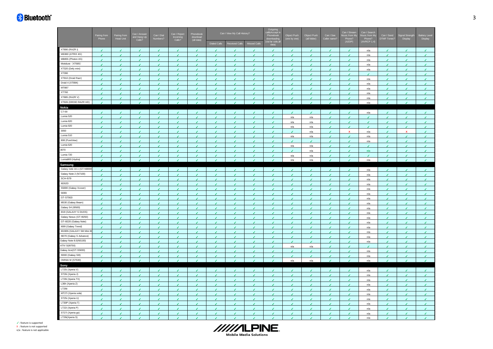|                                                        | Pairing from | Pairing from             | Can I Answer<br>and Hang Up<br>Calls? | Can I Dial<br>Numbers? | Can I Reject<br>Calls?   | Phonebook<br>download<br>(all data) | Can I View My Call History? |                 |                          | Outgoing<br>call&Accept ir<br>Phonebook<br>downloading<br>(via far side,al<br>data) | Object Push<br>(one by one | Object Pusl<br>(all folder) | Can I See<br>Caller name <sup>®</sup> | Can I Stream<br>Music from M<br>Phone?<br>(A2DP) | Can I Search<br>Music from M<br>Phone?<br>(AVRCP 1.4) | Can I Send<br>DTMF Tones | nal Stren<br>Display | Battery Leve<br>Display |
|--------------------------------------------------------|--------------|--------------------------|---------------------------------------|------------------------|--------------------------|-------------------------------------|-----------------------------|-----------------|--------------------------|-------------------------------------------------------------------------------------|----------------------------|-----------------------------|---------------------------------------|--------------------------------------------------|-------------------------------------------------------|--------------------------|----------------------|-------------------------|
|                                                        |              |                          |                                       |                        |                          |                                     | <b>Dialed Calls</b>         | Received Calls  | Missed Calls             |                                                                                     |                            |                             |                                       |                                                  |                                                       |                          |                      |                         |
| XT890 (RAZR i)                                         | J            |                          |                                       |                        |                          |                                     |                             |                 |                          | J                                                                                   | ◢                          |                             |                                       |                                                  | n/a                                                   |                          |                      | ◢                       |
| ME860 (ATRIX 4G)                                       | v            | ٠                        | $\epsilon$                            | v                      | J.                       | J.                                  | J                           | J.              | V                        | J.                                                                                  | ٠                          | J.                          | v                                     | v                                                | n/a                                                   | v                        | J.                   | $\mathcal{L}$           |
| MB855 (Photon 4G)                                      | √            | ✔                        | ✔                                     | ✔                      |                          |                                     | ✔                           | ✔               | ✔                        | ✔                                                                                   | ✔                          | ✔                           | ✔                                     |                                                  | n/a                                                   | ✔                        | ✔                    | ✔                       |
| Motoluxe (XT685)                                       | J            | J.                       | $\epsilon$                            | J.                     | ◢                        | ◢                                   | ◢                           | ◢               | $\epsilon$               | J                                                                                   | J.                         | J.                          | $\epsilon$                            | ◢                                                | n/a                                                   | J.                       | ◢                    | $\epsilon$              |
| XT320 (Defy mini)                                      | J            | J                        | J.                                    | J                      | J                        | ◢                                   | ◢                           | J               | J                        | J                                                                                   | ٠                          | J                           | J.                                    | J                                                | n/a                                                   | J                        | ◢                    | J.                      |
| XT390                                                  | J.           | ٠                        | $\epsilon$                            | J.                     | J.                       | $\overline{\phantom{a}}$            | ◢                           | ◢               | J.                       | ٠                                                                                   | ٠                          | ٠                           | ◢                                     | J.                                               | ◢                                                     | $\overline{\mathcal{L}}$ | ◢                    | ٠                       |
| XT910 (Droid Razr)                                     | v            | v                        | v                                     | ∡                      | J.                       | J.                                  | ٠                           | v               | v                        | Í                                                                                   | v                          | v                           | ✔                                     | ✔                                                | $n/a$                                                 | $\mathcal{L}$            | J.                   | v                       |
| Droid 4 (XT894)                                        | J            | ✔                        | v                                     | v                      | v                        | ◢                                   | ٠                           | $\epsilon$      | ٠                        | v                                                                                   | v                          | ٠                           | ✔                                     | v                                                | n/a                                                   | v                        | v                    | $\mathcal{L}$           |
| MT887                                                  | J            |                          | J                                     |                        |                          |                                     |                             | ◢               | J                        | J                                                                                   | J                          |                             |                                       |                                                  | n/a                                                   |                          |                      | J                       |
| XT760                                                  | J            | ✔                        | ◢                                     | √                      | ✔                        |                                     | ◢                           | ✔               | ✔                        | J                                                                                   | ◢                          | ✔                           | J                                     | ◢                                                | n/a                                                   | $\epsilon$               |                      | ◢                       |
| XT885 (RAZR V)                                         | z            | ٠                        | J.                                    | v                      | ٠                        | ٠                                   | J.                          | J.              | ٠                        | J                                                                                   | J.                         | $\mathcal{L}$               | ◢                                     | J.                                               | n/a                                                   | J.                       | ۶                    | V                       |
| XT926 (DROID RAZR HD)                                  | ◢            | ◢                        | $\mathcal{L}$                         | $\mathcal{L}$          | J.                       | ◢                                   | ◢                           | J.              | $\overline{\mathbf{r}}$  | ◢                                                                                   | ◢                          | $\mathcal{L}$               | $\mathcal{L}$                         | ٠                                                | n/a                                                   | $\overline{\mathcal{L}}$ | $\overline{ }$       | $\overline{f}$          |
| Nokia                                                  |              |                          |                                       |                        |                          |                                     |                             |                 |                          |                                                                                     |                            |                             |                                       |                                                  |                                                       |                          |                      |                         |
| $C7-00$                                                | J            | ◢                        |                                       | ◢                      |                          |                                     |                             |                 |                          | ◢                                                                                   | J.                         |                             | ر                                     | ◢                                                | n/a                                                   |                          |                      | ◢                       |
| Lumia 520                                              | J.           | J.                       | $\epsilon$                            | ×.                     | $\epsilon$               | $\overline{\mathbf{r}}$             | $\epsilon$                  | ٠               | J.                       | J.                                                                                  | n/a                        | n/a                         | ◢                                     | $\epsilon$                                       | $\overline{\mathbf{r}}$                               | $\epsilon$               | J.                   | $\epsilon$              |
| Lumia 820                                              | J            | J                        | J                                     | J                      | J.                       |                                     | J.                          | z               | J                        | z                                                                                   | n/a                        | n/a                         | J                                     | ٠                                                |                                                       | J                        | J                    | J.                      |
| Lumia 920                                              | ٠            | ✔                        | ✔                                     | v                      | v                        | v                                   | v                           | ×.              | $\epsilon$               | v                                                                                   | n/a                        | n/a                         | v                                     | v                                                | v                                                     | $\epsilon$               | $\epsilon$           | $\mathcal{L}$           |
| 3050                                                   | J            | J                        | ↙                                     | v                      | J                        |                                     | J                           | ◢               | ٠                        | J                                                                                   |                            | n/a                         | J                                     | $\mathbf{x}$                                     | n/a                                                   | ر                        | $\mathbf{x}$         | ٠                       |
| Lumia 510                                              | J            | ✔                        | ◢                                     | ✔                      | ✔                        |                                     |                             | ✔               | ✔                        | ✔                                                                                   | n/a                        | n/a                         | J                                     | ◢                                                | n/a                                                   | ✔                        |                      | ٠                       |
| 808 (PureView)                                         | v            | J.                       | J.                                    | ✔                      | ٠                        | ۶                                   | J                           | v               | v                        | J                                                                                   | ٠                          | ✔                           | v                                     | ✔                                                |                                                       | J.                       | J.                   |                         |
| Lumia 620                                              | J            | ◢                        | ◢                                     |                        | ◢                        |                                     | ◢                           | J               | ✔                        | ◢                                                                                   | n/a                        | n/a                         | ◢                                     |                                                  | n/a                                                   | ◢                        | ◢                    | v<br>✔                  |
| 3070                                                   | J            | ◢                        | ◢                                     | ✔<br>◢                 | ◢                        | ◢                                   | ◢                           | J               | J                        | J                                                                                   | ◢                          |                             | $\epsilon$                            | ◢                                                | n/a                                                   | ◢                        |                      | ٠                       |
| Lumia 720                                              | J            |                          | J.                                    |                        |                          |                                     |                             |                 | J                        | J                                                                                   |                            | n/a                         | J.                                    |                                                  | ◢                                                     |                          | ℐ                    | ٠                       |
| Lumia900 (Hydra)                                       | $\epsilon$   | ◢<br>٠                   | v                                     | ◢<br>$\epsilon$        | ◢<br>√                   | J.                                  | ◢<br>$\epsilon$             | ℐ<br>$\epsilon$ | ٠                        | v                                                                                   | n/a<br>n/a                 | n/a<br>n/a                  | ✓                                     | ◢<br>◢                                           | n/a                                                   | ◢<br>J.                  | $\epsilon$           | $\epsilon$              |
|                                                        |              |                          |                                       |                        |                          |                                     |                             |                 |                          |                                                                                     |                            |                             |                                       |                                                  |                                                       |                          |                      |                         |
| Samsung<br>Galaxy note 10.1 (GT-N8000)                 |              |                          |                                       |                        |                          |                                     |                             |                 |                          |                                                                                     |                            |                             |                                       |                                                  |                                                       |                          |                      |                         |
| Galaxy Note 2 (N7100)                                  | v            | ◢                        | ◢                                     | J                      | ✔                        | ◢                                   | ◢                           | J<br>J          | ✔                        | J                                                                                   | v                          | ◢                           | ✔                                     | ◢                                                | n/a                                                   | $\epsilon$               |                      | ٠                       |
| <b>SCH-i579</b>                                        | J.           |                          |                                       |                        |                          |                                     |                             |                 | J                        | J                                                                                   | J                          |                             |                                       |                                                  | n/a                                                   |                          |                      | J.                      |
| 18262D                                                 | J            | ✔                        | ◢                                     | √                      | ✔                        |                                     | ◢                           | ✔               | ٠                        | ✔                                                                                   | ◢                          | ✔                           | J                                     | ◢                                                | n/a                                                   | $\epsilon$               |                      | $\epsilon$              |
| S5690 (Galaxy Xcover)                                  | J            | J                        | J.                                    | J                      | ٠                        | ◢                                   | J                           | J               | ٠                        | J.                                                                                  | ٠                          | J                           | ◢                                     | J.                                               | n/a                                                   | J.                       | ◢                    | J.                      |
| 5830i                                                  |              | ✔                        | ✔                                     |                        |                          |                                     | ℐ                           | ✔               | ✔                        |                                                                                     |                            |                             |                                       |                                                  | n/a                                                   | ◢                        |                      | ✔                       |
| GT-S7562i                                              | $\epsilon$   | ◢                        | ×.                                    | J.                     | ◢                        | ◢                                   | ◢                           | ◢               | √                        | J                                                                                   | J                          | ◢                           | $\epsilon$                            | ◢                                                | n/a                                                   | J.                       |                      | ◢                       |
| 18530 (Galaxy Beam)                                    | J            | J                        | J.                                    | ◢                      | ◢                        | ◢                                   | ◢                           | ◢               | J                        | J                                                                                   | ◢                          | ◢                           | ◢                                     | J                                                | n/a                                                   | ◢                        |                      | ٠                       |
| Galaxy S4 (19500)                                      | $\epsilon$   | J.                       | $\epsilon$                            | J.                     | $\epsilon$               | $\overline{\mathbf{r}}$             | $\overline{\mathcal{L}}$    | ◢               | J.                       | v                                                                                   | J.                         | J.                          | ◢                                     | $\epsilon$                                       | n/a                                                   | ×.                       | ◢                    | $\mathcal I$            |
| i919 (GALAXY S DUOS)                                   | J            | J.                       | ٠                                     | $\epsilon$             | J.                       | J                                   | ٠                           | J.              | ٠                        | J                                                                                   | z                          | J                           | J.                                    | J.                                               | n/a                                                   | $\mathcal{L}$            | J.                   | v                       |
| Galaxy Nexus (GT-I9250)                                | v            | ✔                        | ✔                                     | v.                     | v                        | v                                   | v                           | ×.              | $\epsilon$               | v                                                                                   | v                          | ✓                           | v                                     | v                                                | n/a                                                   | v.                       | v                    | $\mathcal{L}$           |
| GT-i9220 (Galaxy Note)                                 | J            | J                        | ◢                                     | ✔                      | J                        |                                     | J                           | ◢               | J                        | J                                                                                   | J                          | J                           | J                                     | ◢                                                | n/a                                                   | J                        |                      | ٠                       |
|                                                        | J            | ✔                        | ◢                                     | ✔                      | ✔                        |                                     | ◢                           | ✔               | ٠                        | ✔                                                                                   | ◢                          | ✔                           | ✔                                     | ◢                                                | n/a                                                   | $\epsilon$               | J                    | $\epsilon$              |
| 1699 (Galaxy Trend)                                    | J            | ٠                        | J.                                    | J                      | ٠                        | ٠                                   | J                           | í               | ٠                        | J                                                                                   | J                          | J.                          | J                                     | J.                                               | n/a                                                   | J                        | J                    | v                       |
| 18190N (GALAXY SIII Mini 8<br>19070 (Galaxy S Advance) |              | J                        | v                                     | ✔                      | ◢                        |                                     | $\bullet$                   | í               | ٠                        | ◢                                                                                   | ◢                          | J                           | ✔                                     |                                                  | n/a                                                   | J                        | ℐ                    | v                       |
|                                                        | J            | ◢                        | ×.                                    | J.                     | $\overline{\mathcal{L}}$ | $\overline{\mathcal{L}}$            | ◢                           | ◢               | ◢                        | J                                                                                   | J.                         | ◢                           | J.                                    | ◢                                                | n/a                                                   | J.                       |                      | $\epsilon$              |
| Galaxy Note 8.0(N5100)<br>ATIV S(18750)                | J            | ◢                        | ◢                                     | ◢                      | ◢                        | ◢                                   | ◢                           | ℐ               | ◢                        | J                                                                                   | ◢                          | ◢                           | J                                     | ◢                                                | n/a                                                   | J                        |                      | ٠                       |
|                                                        | J.           | ◢                        | $\epsilon$                            | ٠                      | J.                       | ◢                                   | $\overline{ }$              | J               | J.                       | ٠                                                                                   | n/a                        | n/a                         | J.                                    | J.                                               | ◢                                                     | $\overline{\mathcal{L}}$ | ◢                    | J.                      |
| Galaxy Ace(GT-S5830)<br>19300 (Galaxy SIII)            | J            | J                        | ر                                     | J.                     |                          |                                     | J                           | ۶               | J                        | J                                                                                   | J                          | J                           | J                                     | ر                                                | n/a                                                   | J.                       | J.                   | ٠                       |
|                                                        | J            | v                        | ✔                                     | ✓                      | ✔                        | ✔                                   | v                           | v               | J.                       | v                                                                                   | v                          | ✔                           | ✔                                     | ✔                                                | $n/a$                                                 | v                        | $\mathcal{E}$        | $\mathcal{L}$           |
| <b>OMNIA M (S7530)</b>                                 | J.           | $\overline{\mathcal{L}}$ | ×.                                    | J.                     |                          |                                     |                             | ×.              | $\overline{\mathcal{L}}$ | J                                                                                   | n/a                        | n/a                         | $\overline{ }$                        | ◢                                                | n/a                                                   |                          |                      | $\mathcal{L}$           |
| Sony                                                   |              |                          |                                       |                        |                          |                                     |                             |                 |                          |                                                                                     |                            |                             |                                       |                                                  |                                                       |                          |                      |                         |
| LT25i (Xperia V)                                       | J            | J                        |                                       |                        |                          | ٠                                   |                             | ◢               | J                        | ر                                                                                   | J                          | ◢                           |                                       | ◢                                                | n/a                                                   | ◢                        |                      | J                       |
| ST26i (Xperia J)                                       | ۶            |                          |                                       |                        |                          |                                     | ℐ                           |                 | ℐ                        |                                                                                     |                            |                             |                                       |                                                  | n/a                                                   | ◢                        |                      | v                       |
| LT29i (Xperia TX)                                      | J            | ◢                        | ◢                                     | ◢                      | ◢                        | ◢                                   | ◢                           | ◢               | √                        | ◢                                                                                   | ◢                          | ◢                           | ◢                                     | ◢                                                | n/a                                                   | ◢                        |                      | $\epsilon$              |
| L36h (Xperia Z)                                        | ◢            | ◢                        | J.                                    | ◢                      | ◢                        | ◢                                   | ◢                           | ◢               | J.                       | ◢                                                                                   | ◢                          | ◢                           | ◢                                     | J                                                | n/a                                                   | J                        |                      | ٠                       |
| LT26ii                                                 | J.           | J                        | $\epsilon$                            | ×.                     | J.                       | $\overline{\mathcal{L}}$            | ◢                           | J               | J.                       | ٠                                                                                   | ٠                          | J.                          | ◢                                     | $\epsilon$                                       | n/a                                                   | $\epsilon$               | ◢                    | $\epsilon$              |
| MT27i (Xperia sola)                                    | J            | J.                       | v                                     | $\epsilon$             | J.                       | ر                                   | ٠                           | J.              | ٠                        | J                                                                                   | J.                         | ٠                           | J.                                    | J.                                               | n/a                                                   | $\mathcal{L}$            | J                    | v                       |
| ST25i (Xperia U)                                       | v            | v                        | v                                     | v                      | v                        | ◢                                   | $\mathcal{L}$               | $\mathcal{L}$   | $\mathcal{J}$            | v                                                                                   | v                          | v                           | ✔                                     | v                                                | n/a                                                   | v                        | ◢                    | $\mathcal{L}$           |
| LT30P (Xperia T)                                       | J            | J                        | ◢                                     | ✔                      |                          |                                     |                             | ◢               | J                        | J                                                                                   | ℐ                          | ✓                           | J                                     | ◢                                                | n/a                                                   |                          |                      | J                       |
| LT22i (Xperia P)                                       | J            | ✔                        | ◢                                     | √                      | ✔                        |                                     |                             | ✔               | ✔                        | J                                                                                   | J                          | ✔                           | $\epsilon$                            | ✔                                                | n/a                                                   | ✔                        |                      | J.                      |
| ST27i (Xperia go)                                      | J            |                          | J                                     | J                      | J                        |                                     |                             | z               | J                        | J                                                                                   | ر                          | J                           | ✔                                     |                                                  | n/a                                                   | J                        | J                    | J                       |
| LT26i(Xperia S)                                        | J            |                          |                                       |                        |                          |                                     |                             |                 |                          |                                                                                     |                            |                             | J                                     |                                                  | n/a                                                   |                          |                      |                         |